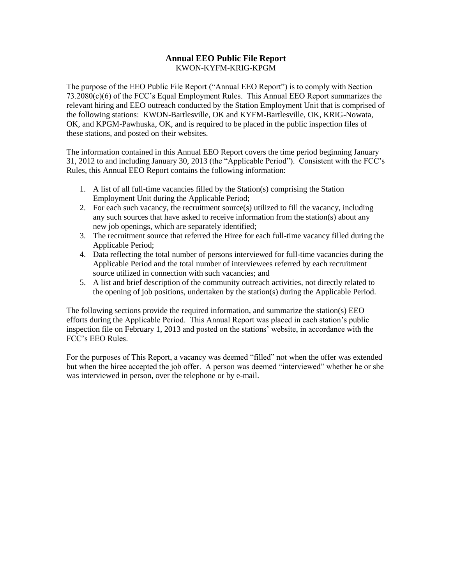### **Annual EEO Public File Report** KWON-KYFM-KRIG-KPGM

The purpose of the EEO Public File Report ("Annual EEO Report") is to comply with Section 73.2080(c)(6) of the FCC's Equal Employment Rules. This Annual EEO Report summarizes the relevant hiring and EEO outreach conducted by the Station Employment Unit that is comprised of the following stations: KWON-Bartlesville, OK and KYFM-Bartlesville, OK, KRIG-Nowata, OK, and KPGM-Pawhuska, OK, and is required to be placed in the public inspection files of these stations, and posted on their websites.

The information contained in this Annual EEO Report covers the time period beginning January 31, 2012 to and including January 30, 2013 (the "Applicable Period"). Consistent with the FCC's Rules, this Annual EEO Report contains the following information:

- 1. A list of all full-time vacancies filled by the Station(s) comprising the Station Employment Unit during the Applicable Period;
- 2. For each such vacancy, the recruitment source(s) utilized to fill the vacancy, including any such sources that have asked to receive information from the station(s) about any new job openings, which are separately identified;
- 3. The recruitment source that referred the Hiree for each full-time vacancy filled during the Applicable Period;
- 4. Data reflecting the total number of persons interviewed for full-time vacancies during the Applicable Period and the total number of interviewees referred by each recruitment source utilized in connection with such vacancies; and
- 5. A list and brief description of the community outreach activities, not directly related to the opening of job positions, undertaken by the station(s) during the Applicable Period.

The following sections provide the required information, and summarize the station(s) EEO efforts during the Applicable Period. This Annual Report was placed in each station's public inspection file on February 1, 2013 and posted on the stations' website, in accordance with the FCC's EEO Rules.

For the purposes of This Report, a vacancy was deemed "filled" not when the offer was extended but when the hiree accepted the job offer. A person was deemed "interviewed" whether he or she was interviewed in person, over the telephone or by e-mail.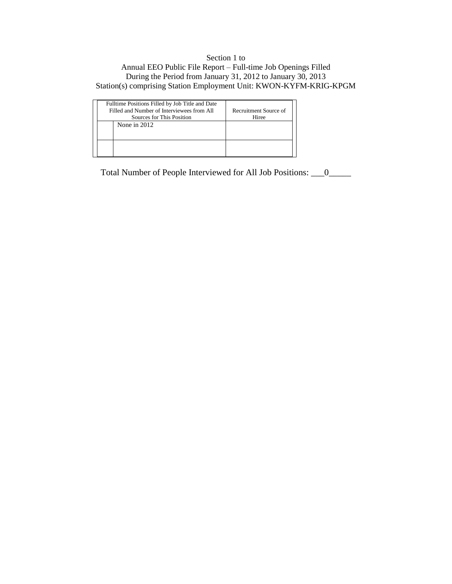## Section 1 to Annual EEO Public File Report – Full-time Job Openings Filled During the Period from January 31, 2012 to January 30, 2013 Station(s) comprising Station Employment Unit: KWON-KYFM-KRIG-KPGM

|  | Fulltime Positions Filled by Job Title and Date<br>Filled and Number of Interviewees from All | Recruitment Source of |
|--|-----------------------------------------------------------------------------------------------|-----------------------|
|  |                                                                                               |                       |
|  | Sources for This Position                                                                     | Hiree                 |
|  | None in $2012$                                                                                |                       |
|  |                                                                                               |                       |

Total Number of People Interviewed for All Job Positions: \_\_\_0\_\_\_\_\_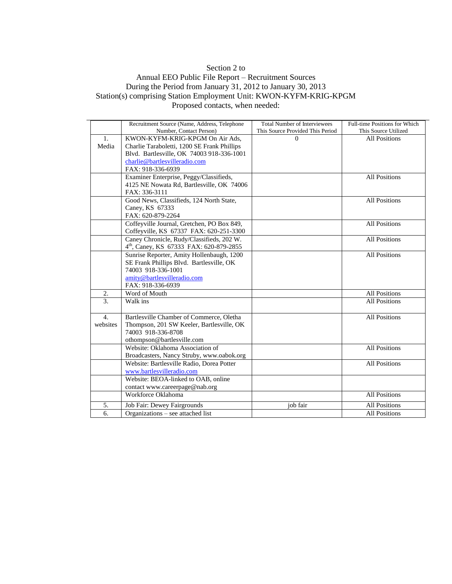## Section 2 to

### Annual EEO Public File Report – Recruitment Sources During the Period from January 31, 2012 to January 30, 2013 Station(s) comprising Station Employment Unit: KWON-KYFM-KRIG-KPGM Proposed contacts, when needed:

|                  | Recruitment Source (Name, Address, Telephone                                         | <b>Total Number of Interviewees</b> | Full-time Positions for Which |
|------------------|--------------------------------------------------------------------------------------|-------------------------------------|-------------------------------|
|                  | Number, Contact Person)                                                              | This Source Provided This Period    | This Source Utilized          |
| $\mathbf{1}$ .   | KWON-KYFM-KRIG-KPGM On Air Ads,                                                      | 0                                   | <b>All Positions</b>          |
| Media            | Charlie Taraboletti, 1200 SE Frank Phillips                                          |                                     |                               |
|                  | Blvd. Bartlesville, OK 74003 918-336-1001                                            |                                     |                               |
|                  | charlie@bartlesvilleradio.com                                                        |                                     |                               |
|                  | FAX: 918-336-6939                                                                    |                                     |                               |
|                  | Examiner Enterprise, Peggy/Classifieds,                                              |                                     | <b>All Positions</b>          |
|                  | 4125 NE Nowata Rd, Bartlesville, OK 74006                                            |                                     |                               |
|                  | FAX: 336-3111                                                                        |                                     |                               |
|                  | Good News, Classifieds, 124 North State,                                             |                                     | <b>All Positions</b>          |
|                  | Caney, KS 67333                                                                      |                                     |                               |
|                  | FAX: 620-879-2264                                                                    |                                     | All Positions                 |
|                  | Coffeyville Journal, Gretchen, PO Box 849,                                           |                                     |                               |
|                  | Coffeyville, KS 67337 FAX: 620-251-3300<br>Caney Chronicle, Rudy/Classifieds, 202 W. |                                     | <b>All Positions</b>          |
|                  |                                                                                      |                                     |                               |
|                  | 4 <sup>th</sup> , Caney, KS 67333 FAX: 620-879-2855                                  |                                     |                               |
|                  | Sunrise Reporter, Amity Hollenbaugh, 1200                                            |                                     | <b>All Positions</b>          |
|                  | SE Frank Phillips Blvd. Bartlesville, OK<br>74003 918-336-1001                       |                                     |                               |
|                  |                                                                                      |                                     |                               |
|                  | amity@bartlesvilleradio.com                                                          |                                     |                               |
|                  | FAX: 918-336-6939                                                                    |                                     |                               |
| 2.               | Word of Mouth                                                                        |                                     | <b>All Positions</b>          |
| $\overline{3}$ . | Walk ins                                                                             |                                     | <b>All Positions</b>          |
| 4.               | Bartlesville Chamber of Commerce, Oletha                                             |                                     | <b>All Positions</b>          |
| websites         | Thompson, 201 SW Keeler, Bartlesville, OK                                            |                                     |                               |
|                  | 74003 918-336-8708                                                                   |                                     |                               |
|                  | othompson@bartlesville.com                                                           |                                     |                               |
|                  | Website: Oklahoma Association of                                                     |                                     | <b>All Positions</b>          |
|                  | Broadcasters, Nancy Struby, www.oabok.org                                            |                                     |                               |
|                  | Website: Bartlesville Radio, Dorea Potter                                            |                                     | <b>All Positions</b>          |
|                  | www.bartlesvilleradio.com                                                            |                                     |                               |
|                  | Website: BEOA-linked to OAB, online                                                  |                                     |                               |
|                  | contact www.careerpage@nab.org                                                       |                                     |                               |
|                  | Workforce Oklahoma                                                                   |                                     | <b>All Positions</b>          |
| 5.               | Job Fair: Dewey Fairgrounds                                                          | job fair                            | <b>All Positions</b>          |
| 6.               | Organizations – see attached list                                                    |                                     | <b>All Positions</b>          |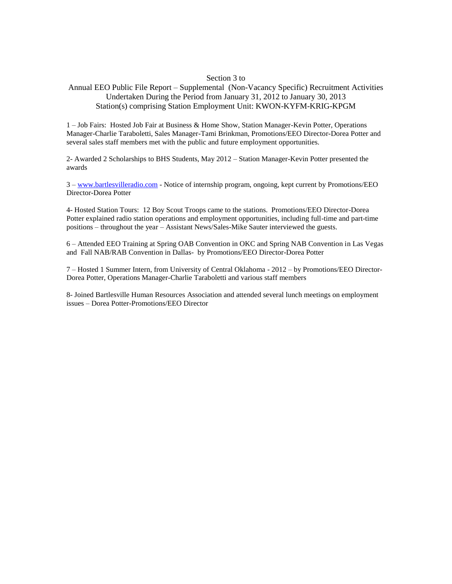#### Section 3 to

## Annual EEO Public File Report – Supplemental (Non-Vacancy Specific) Recruitment Activities Undertaken During the Period from January 31, 2012 to January 30, 2013 Station(s) comprising Station Employment Unit: KWON-KYFM-KRIG-KPGM

1 – Job Fairs: Hosted Job Fair at Business & Home Show, Station Manager-Kevin Potter, Operations Manager-Charlie Taraboletti, Sales Manager-Tami Brinkman, Promotions/EEO Director-Dorea Potter and several sales staff members met with the public and future employment opportunities.

2- Awarded 2 Scholarships to BHS Students, May 2012 – Station Manager-Kevin Potter presented the awards

3 – [www.bartlesvilleradio.com](http://www.bartlesvilleradio.com/) - Notice of internship program, ongoing, kept current by Promotions/EEO Director-Dorea Potter

4- Hosted Station Tours: 12 Boy Scout Troops came to the stations. Promotions/EEO Director-Dorea Potter explained radio station operations and employment opportunities, including full-time and part-time positions – throughout the year – Assistant News/Sales-Mike Sauter interviewed the guests.

6 – Attended EEO Training at Spring OAB Convention in OKC and Spring NAB Convention in Las Vegas and Fall NAB/RAB Convention in Dallas- by Promotions/EEO Director-Dorea Potter

7 – Hosted 1 Summer Intern, from University of Central Oklahoma - 2012 – by Promotions/EEO Director-Dorea Potter, Operations Manager-Charlie Taraboletti and various staff members

8- Joined Bartlesville Human Resources Association and attended several lunch meetings on employment issues – Dorea Potter-Promotions/EEO Director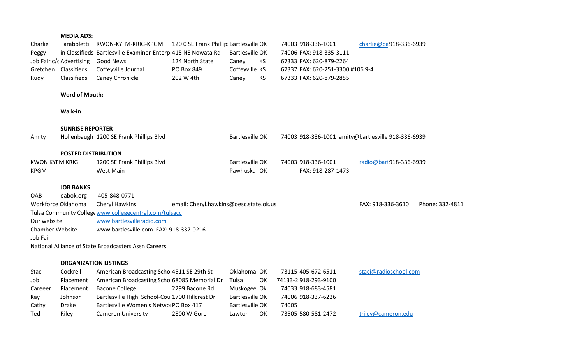## **MEDIA ADS:**

| Charlie                | Taraboletti                                      | KWON-KYFM-KRIG-KPGM                                          | 120 0 SE Frank Phillip: Bartlesville OK |                         |           |       | 74003 918-336-1001                                          | charlie@ba918-336-6939                             |                 |
|------------------------|--------------------------------------------------|--------------------------------------------------------------|-----------------------------------------|-------------------------|-----------|-------|-------------------------------------------------------------|----------------------------------------------------|-----------------|
| Peggy                  |                                                  | in Classifieds Bartlesville Examiner-Enterp 415 NE Nowata Rd |                                         | <b>Bartlesville OK</b>  |           |       | 74006 FAX: 918-335-3111                                     |                                                    |                 |
|                        | Job Fair c/c Advertising<br>Gretchen Classifieds | <b>Good News</b>                                             | 124 North State<br>PO Box 849           | Caney<br>Coffeyville KS | KS        |       | 67333 FAX: 620-879-2264<br>67337 FAX: 620-251-3300 #106 9-4 |                                                    |                 |
| Rudy                   | Classifieds                                      | Coffeyville Journal<br>Caney Chronicle                       | 202 W 4th                               | Caney                   | <b>KS</b> |       | 67333 FAX: 620-879-2855                                     |                                                    |                 |
|                        |                                                  |                                                              |                                         |                         |           |       |                                                             |                                                    |                 |
|                        | <b>Word of Mouth:</b>                            |                                                              |                                         |                         |           |       |                                                             |                                                    |                 |
|                        | Walk-in                                          |                                                              |                                         |                         |           |       |                                                             |                                                    |                 |
|                        | <b>SUNRISE REPORTER</b>                          |                                                              |                                         |                         |           |       |                                                             |                                                    |                 |
| Amity                  |                                                  | Hollenbaugh 1200 SE Frank Phillips Blvd                      |                                         | <b>Bartlesville OK</b>  |           |       |                                                             | 74003 918-336-1001 amity@bartlesville 918-336-6939 |                 |
|                        | <b>POSTED DISTRIBUTION</b>                       |                                                              |                                         |                         |           |       |                                                             |                                                    |                 |
| <b>KWON KYFM KRIG</b>  |                                                  | 1200 SE Frank Phillips Blvd                                  |                                         | <b>Bartlesville OK</b>  |           |       | 74003 918-336-1001                                          | radio@barl918-336-6939                             |                 |
| <b>KPGM</b>            |                                                  | <b>West Main</b>                                             |                                         | Pawhuska OK             |           |       | FAX: 918-287-1473                                           |                                                    |                 |
|                        | <b>JOB BANKS</b>                                 |                                                              |                                         |                         |           |       |                                                             |                                                    |                 |
| OAB                    | oabok.org                                        | 405-848-0771                                                 |                                         |                         |           |       |                                                             |                                                    |                 |
|                        | Workforce Oklahoma                               | Cheryl Hawkins                                               | email: Cheryl.hawkins@oesc.state.ok.us  |                         |           |       |                                                             | FAX: 918-336-3610                                  | Phone: 332-4811 |
|                        |                                                  | Tulsa Community College www.collegecentral.com/tulsacc       |                                         |                         |           |       |                                                             |                                                    |                 |
| Our website            |                                                  | www.bartlesvilleradio.com                                    |                                         |                         |           |       |                                                             |                                                    |                 |
| <b>Chamber Website</b> |                                                  | www.bartlesville.com FAX: 918-337-0216                       |                                         |                         |           |       |                                                             |                                                    |                 |
| Job Fair               |                                                  |                                                              |                                         |                         |           |       |                                                             |                                                    |                 |
|                        |                                                  | National Alliance of State Broadcasters Assn Careers         |                                         |                         |           |       |                                                             |                                                    |                 |
|                        | <b>ORGANIZATION LISTINGS</b>                     |                                                              |                                         |                         |           |       |                                                             |                                                    |                 |
| Staci                  | Cockrell                                         | American Broadcasting Scho 4511 SE 29th St                   |                                         | Oklahoma OK             |           |       | 73115 405-672-6511                                          | staci@radioschool.com                              |                 |
| Job                    | Placement                                        | American Broadcasting Scho 68085 Memorial Dr                 |                                         | Tulsa                   | OK        |       | 74133-2 918-293-9100                                        |                                                    |                 |
| Careeer                | Placement                                        | <b>Bacone College</b>                                        | 2299 Bacone Rd                          | Muskogee Ok             |           |       | 74033 918-683-4581                                          |                                                    |                 |
| Kay                    | Johnson                                          | Bartlesville High School-Cou 1700 Hillcrest Dr               |                                         | <b>Bartlesville OK</b>  |           |       | 74006 918-337-6226                                          |                                                    |                 |
| Cathy                  | <b>Drake</b>                                     | Bartlesville Women's Netwo PO Box 417                        |                                         | Bartlesville OK         |           | 74005 |                                                             |                                                    |                 |
| Ted                    | Riley                                            | <b>Cameron University</b>                                    | 2800 W Gore                             | Lawton                  | OK        |       | 73505 580-581-2472                                          | triley@cameron.edu                                 |                 |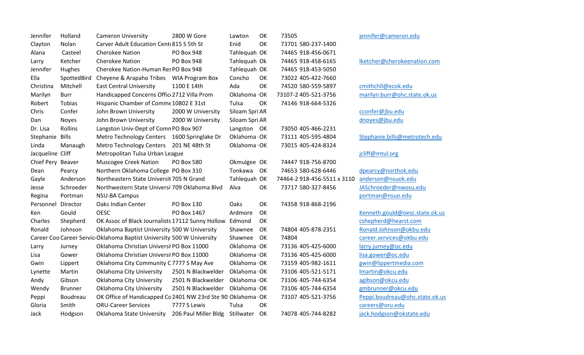| Jennifer          | Holland        | <b>Cameron University</b>                                             | 2800 W Gore          | Lawton         | OK | 73505 |                             |
|-------------------|----------------|-----------------------------------------------------------------------|----------------------|----------------|----|-------|-----------------------------|
| Clayton           | Nolan          | Carver Adult Education Cent 815 S 5th St                              |                      | Enid           | OK |       | 73701 580-237-1400          |
| Alana             | Casteel        | <b>Cherokee Nation</b>                                                | PO Box 948           | Tahlequah OK   |    |       | 74465 918-456-0671          |
| Larry             | Ketcher        | <b>Cherokee Nation</b>                                                | <b>PO Box 948</b>    | Tahlequah Ok   |    |       | 74465 918-458-6165          |
| Jennifer          | Hughes         | Cherokee Nation-Human Res PO Box 948                                  |                      | Tahlequah OK   |    |       | 74465 918-453-5050          |
| Ella              | SpottedBird    | Cheyene & Arapaho Tribes  WIA Program Box                             |                      | Concho         | OK |       | 73022 405-422-7660          |
| Christina         | Mitchell       | <b>East Central University</b>                                        | 1100 E 14th          | Ada            | OK |       | 74520 580-559-5897          |
| Marilyn           | <b>Burr</b>    | Handicapped Concerns Offic 2712 Villa Prom                            |                      | Oklahoma OK    |    |       | 73107-2 405-521-3756        |
| Robert            | Tobias         | Hispanic Chamber of Comme 10802 E 31st                                |                      | Tulsa          | OK |       | 74146 918-664-5326          |
| Chris             | Confer         | John Brown University                                                 | 2000 W University    | Siloam Spri AR |    |       |                             |
| Dan               | <b>Noyes</b>   | John Brown University                                                 | 2000 W University    | Siloam Spri AR |    |       |                             |
| Dr. Lisa          | Rollins        | Langston Univ-Dept of Comn PO Box 907                                 |                      | Langston OK    |    |       | 73050 405-466-2231          |
| Stephanie         | <b>Bills</b>   | Metro Technology Centers 1600 Springlake Dr                           |                      | Oklahoma OK    |    |       | 73111 405-595-4804          |
| Linda             | Manaugh        | <b>Metro Technology Centers</b>                                       | 201 NE 48th St       | Oklahoma OK    |    |       | 73015 405-424-8324          |
| Jacqueline Cliff  |                | Metropolitan Tulsa Urban League                                       |                      |                |    |       |                             |
| Chief Pery Beaver |                | Muscogee Creek Nation                                                 | <b>PO Box 580</b>    | Okmulgee OK    |    |       | 74447 918-756-8700          |
| Dean              | Pearcy         | Northern Oklahoma College PO Box 310                                  |                      | Tonkawa        | OK |       | 74653 580-628-6446          |
| Gayle             | Anderson       | Northeastern State Universit 705 N Grand                              |                      | Tahlequah OK   |    |       | 74464-2 918-456-5511 x 3110 |
| Jesse             | Schroeder      | Northwestern State Universi 709 Oklahoma Blvd                         |                      | Alva           | OK |       | 73717 580-327-8456          |
| Regina            | Portman        | <b>NSU-BA Campus</b>                                                  |                      |                |    |       |                             |
| Personnel         | Director       | Oaks Indian Center                                                    | PO Box 130           | Oaks           | OK |       | 74358 918-868-2196          |
| Ken               | Gould          | <b>OESC</b>                                                           | PO Box 1467          | Ardmore        | OK |       |                             |
| Charles           | Shepherd       | OK Assoc of Black Journalists 17112 Sunny Hollow Edmond               |                      |                | OK |       |                             |
| Ronald            | Johnson        | Oklahoma Baptist University 500 W University                          |                      | Shawnee        | OK |       | 74804 405-878-2351          |
|                   |                | Career Coo Career Servic Oklahoma Baptist University 500 W University |                      | Shawnee        | OK | 74804 |                             |
| Larry             | Jurney         | Oklahoma Christian Universi PO Box 11000                              |                      | Oklahoma OK    |    |       | 73136 405-425-6000          |
| Lisa              | Gower          | Oklahoma Christian Universi PO Box 11000                              |                      | Oklahoma OK    |    |       | 73136 405-425-6000          |
| Gwin              | Lippert        | Oklahoma City Community C 7777 S May Ave                              |                      | Oklahoma OK    |    |       | 73159 405-982-1611          |
| Lynette           | Martin         | Oklahoma City University                                              | 2501 N Blackwelder   | Oklahoma OK    |    |       | 73106 405-521-5171          |
| Andy              | Gibson         | Oklahoma City University                                              | 2501 N Blackwelder   | Oklahoma OK    |    |       | 73106 405-744-6354          |
| Wendy             | <b>Brunner</b> | <b>Oklahoma City University</b>                                       | 2501 N Blackwelder   | Oklahoma OK    |    |       | 73106 405-744-6354          |
| Peppi             | Boudreau       | OK Office of Handicapped Cc 2401 NW 23rd Ste 90 Oklahoma OK           |                      |                |    |       | 73107 405-521-3756          |
| Gloria            | Smith          | <b>ORU-Career Services</b>                                            | 7777 S Lewis         | Tulsa          | OK |       |                             |
| Jack              | Hodgson        | Oklahoma State University                                             | 206 Paul Miller Bldg | Stillwater     | OK |       | 74078 405-744-8282          |

[jennifer@cameron.edu](mailto:jennifer@cameron.edu)

[lketcher@cherokeenation.com](mailto:lketcher@cherokeenation.com)

# [cmithchll@ecok.edu](mailto:cmithchll@ecok.edu) [marilyn.burr@ohc.state.ok.us](mailto:marilyn.burr@ohc.state.ok.us)

[cconfer@jbu.edu](mailto:cconfer@jbu.edu)

[dnoyes@jbu.edu](mailto:dnoyes@jbu.edu)

[Stephanie.bills@metrotech.edu](mailto:Stephanie.bills@metrotech.edu)

## [jcliff@mtul.org](mailto:jcliff@mtul.org)

[dpearcy@northok.edu](mailto:dpearcy@northok.edu) [anderson@nsuok.edu](mailto:anderson@nsuok.edu) [JASchroeder@nwosu.edu](mailto:JASchroeder@nwosu.edu) [portman@nsuo.edu](mailto:portman@nsuo.edu)

[Kenneth.gould@oesc.state.ok.us](mailto:Kenneth.gould@oesc.state.ok.us) [cshepherd@hearst.com](mailto:cshepherd@hearst.com) Ronald Johnson@okbu.edu career services@okbu.edu larry jurney@oc.edu lisa gower@oc.edu [gwin@lippertmedia.com](mailto:gwin@lippertmedia.com) [lmartin@okcu.edu](mailto:lmartin@okcu.edu) [agibson@okcu.edu](mailto:agibson@okcu.edu) [gmbrunner@okcu.edu](mailto:gmbrunner@okcu.edu) [Peppi.boudreau@ohc.state.ok.us](mailto:Peppi.boudreau@ohc.state.ok.us) [careers@oru.edu](mailto:careers@oru.edu) [jack.hodgson@okstate.edu](mailto:jack.hodgson@okstate.edu)